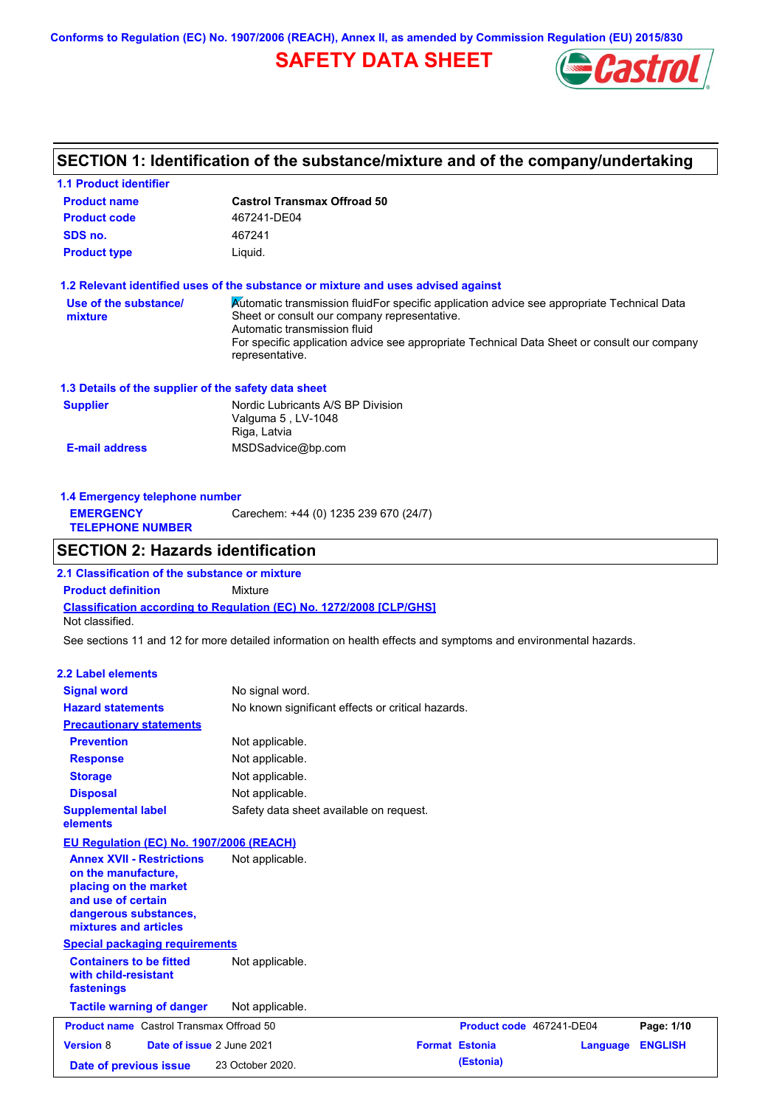**Conforms to Regulation (EC) No. 1907/2006 (REACH), Annex II, as amended by Commission Regulation (EU) 2015/830**

# **SAFETY DATA SHEET**



# **SECTION 1: Identification of the substance/mixture and of the company/undertaking**

| <b>1.1 Product identifier</b>                                                                                                                            |                                                                                                                                                                                                                                                                                              |  |                          |                 |                |
|----------------------------------------------------------------------------------------------------------------------------------------------------------|----------------------------------------------------------------------------------------------------------------------------------------------------------------------------------------------------------------------------------------------------------------------------------------------|--|--------------------------|-----------------|----------------|
| <b>Product name</b>                                                                                                                                      | <b>Castrol Transmax Offroad 50</b>                                                                                                                                                                                                                                                           |  |                          |                 |                |
| <b>Product code</b>                                                                                                                                      | 467241-DE04                                                                                                                                                                                                                                                                                  |  |                          |                 |                |
| SDS no.                                                                                                                                                  | 467241                                                                                                                                                                                                                                                                                       |  |                          |                 |                |
| <b>Product type</b><br>Liquid.                                                                                                                           |                                                                                                                                                                                                                                                                                              |  |                          |                 |                |
|                                                                                                                                                          | 1.2 Relevant identified uses of the substance or mixture and uses advised against                                                                                                                                                                                                            |  |                          |                 |                |
| Use of the substance/<br>mixture                                                                                                                         | Automatic transmission fluidFor specific application advice see appropriate Technical Data<br>Sheet or consult our company representative.<br>Automatic transmission fluid<br>For specific application advice see appropriate Technical Data Sheet or consult our company<br>representative. |  |                          |                 |                |
| 1.3 Details of the supplier of the safety data sheet                                                                                                     |                                                                                                                                                                                                                                                                                              |  |                          |                 |                |
| <b>Supplier</b>                                                                                                                                          | Nordic Lubricants A/S BP Division<br>Valguma 5, LV-1048<br>Riga, Latvia                                                                                                                                                                                                                      |  |                          |                 |                |
| <b>E-mail address</b>                                                                                                                                    | MSDSadvice@bp.com                                                                                                                                                                                                                                                                            |  |                          |                 |                |
| 1.4 Emergency telephone number                                                                                                                           |                                                                                                                                                                                                                                                                                              |  |                          |                 |                |
| <b>EMERGENCY</b><br><b>TELEPHONE NUMBER</b>                                                                                                              | Carechem: +44 (0) 1235 239 670 (24/7)                                                                                                                                                                                                                                                        |  |                          |                 |                |
| <b>SECTION 2: Hazards identification</b>                                                                                                                 |                                                                                                                                                                                                                                                                                              |  |                          |                 |                |
| 2.1 Classification of the substance or mixture                                                                                                           |                                                                                                                                                                                                                                                                                              |  |                          |                 |                |
| <b>Product definition</b>                                                                                                                                | Mixture                                                                                                                                                                                                                                                                                      |  |                          |                 |                |
| Not classified.                                                                                                                                          | Classification according to Regulation (EC) No. 1272/2008 [CLP/GHS]                                                                                                                                                                                                                          |  |                          |                 |                |
|                                                                                                                                                          | See sections 11 and 12 for more detailed information on health effects and symptoms and environmental hazards.                                                                                                                                                                               |  |                          |                 |                |
| <b>2.2 Label elements</b>                                                                                                                                |                                                                                                                                                                                                                                                                                              |  |                          |                 |                |
| <b>Signal word</b>                                                                                                                                       | No signal word.                                                                                                                                                                                                                                                                              |  |                          |                 |                |
| <b>Hazard statements</b>                                                                                                                                 | No known significant effects or critical hazards.                                                                                                                                                                                                                                            |  |                          |                 |                |
| <b>Precautionary statements</b>                                                                                                                          |                                                                                                                                                                                                                                                                                              |  |                          |                 |                |
| <b>Prevention</b>                                                                                                                                        | Not applicable.                                                                                                                                                                                                                                                                              |  |                          |                 |                |
| <b>Response</b>                                                                                                                                          | Not applicable.                                                                                                                                                                                                                                                                              |  |                          |                 |                |
| <b>Storage</b>                                                                                                                                           | Not applicable.                                                                                                                                                                                                                                                                              |  |                          |                 |                |
| <b>Disposal</b>                                                                                                                                          | Not applicable.                                                                                                                                                                                                                                                                              |  |                          |                 |                |
| <b>Supplemental label</b><br>elements                                                                                                                    | Safety data sheet available on request.                                                                                                                                                                                                                                                      |  |                          |                 |                |
| EU Regulation (EC) No. 1907/2006 (REACH)                                                                                                                 |                                                                                                                                                                                                                                                                                              |  |                          |                 |                |
| <b>Annex XVII - Restrictions</b><br>on the manufacture,<br>placing on the market<br>and use of certain<br>dangerous substances,<br>mixtures and articles | Not applicable.                                                                                                                                                                                                                                                                              |  |                          |                 |                |
| <b>Special packaging requirements</b>                                                                                                                    |                                                                                                                                                                                                                                                                                              |  |                          |                 |                |
| <b>Containers to be fitted</b><br>with child-resistant<br>fastenings                                                                                     | Not applicable.                                                                                                                                                                                                                                                                              |  |                          |                 |                |
| <b>Tactile warning of danger</b>                                                                                                                         | Not applicable.                                                                                                                                                                                                                                                                              |  |                          |                 |                |
| <b>Product name</b> Castrol Transmax Offroad 50                                                                                                          |                                                                                                                                                                                                                                                                                              |  | Product code 467241-DE04 |                 | Page: 1/10     |
| <b>Version 8</b>                                                                                                                                         | Date of issue 2 June 2021                                                                                                                                                                                                                                                                    |  | <b>Format Estonia</b>    | <b>Language</b> | <b>ENGLISH</b> |
| Date of previous issue                                                                                                                                   | 23 October 2020.                                                                                                                                                                                                                                                                             |  | (Estonia)                |                 |                |
|                                                                                                                                                          |                                                                                                                                                                                                                                                                                              |  |                          |                 |                |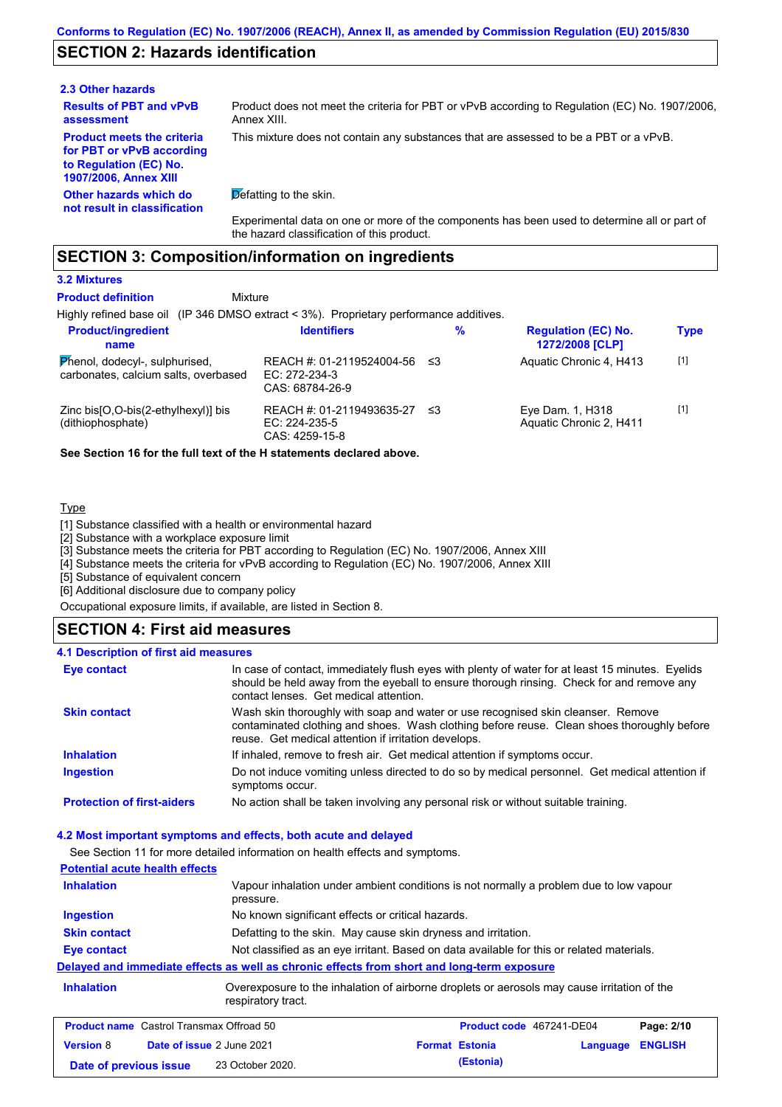# **SECTION 2: Hazards identification**

### **2.3 Other hazards**

**Results of PBT and vPvB assessment**

**Product meets the criteria for PBT or vPvB according to Regulation (EC) No. 1907/2006, Annex XIII**

**Other hazards which do not result in classification** Product does not meet the criteria for PBT or vPvB according to Regulation (EC) No. 1907/2006, Annex XIII. This mixture does not contain any substances that are assessed to be a PBT or a vPvB.

 $\overline{\mathsf{D}}$  efatting to the skin.

Experimental data on one or more of the components has been used to determine all or part of the hazard classification of this product.

# **SECTION 3: Composition/information on ingredients**

### **3.2 Mixtures**

#### **Mixture Product definition**

Highly refined base oil (IP 346 DMSO extract < 3%). Proprietary performance additives.

| <b>Product/ingredient</b><br>name                                      | <b>Identifiers</b>                                            |     | % | <b>Regulation (EC) No.</b><br>1272/2008 [CLP] | <b>Type</b> |
|------------------------------------------------------------------------|---------------------------------------------------------------|-----|---|-----------------------------------------------|-------------|
| Phenol, dodecyl-, sulphurised,<br>carbonates, calcium salts, overbased | REACH #: 01-2119524004-56<br>EC: 272-234-3<br>CAS: 68784-26-9 | -≤3 |   | Aquatic Chronic 4, H413                       | $[1]$       |
| Zinc bis[O,O-bis(2-ethylhexyl)] bis<br>(dithiophosphate)               | REACH #: 01-2119493635-27<br>EC: 224-235-5<br>CAS: 4259-15-8  | _≤3 |   | Eye Dam. 1, H318<br>Aquatic Chronic 2, H411   | $[1]$       |

**See Section 16 for the full text of the H statements declared above.**

### **Type**

[1] Substance classified with a health or environmental hazard

[2] Substance with a workplace exposure limit

[3] Substance meets the criteria for PBT according to Regulation (EC) No. 1907/2006, Annex XIII

[4] Substance meets the criteria for vPvB according to Regulation (EC) No. 1907/2006, Annex XIII

[5] Substance of equivalent concern

[6] Additional disclosure due to company policy

Occupational exposure limits, if available, are listed in Section 8.

# **SECTION 4: First aid measures**

#### **4.1 Description of first aid measures**

| <b>Eye contact</b>                | In case of contact, immediately flush eyes with plenty of water for at least 15 minutes. Eyelids<br>should be held away from the eyeball to ensure thorough rinsing. Check for and remove any<br>contact lenses. Get medical attention. |
|-----------------------------------|-----------------------------------------------------------------------------------------------------------------------------------------------------------------------------------------------------------------------------------------|
| <b>Skin contact</b>               | Wash skin thoroughly with soap and water or use recognised skin cleanser. Remove<br>contaminated clothing and shoes. Wash clothing before reuse. Clean shoes thoroughly before<br>reuse. Get medical attention if irritation develops.  |
| <b>Inhalation</b>                 | If inhaled, remove to fresh air. Get medical attention if symptoms occur.                                                                                                                                                               |
| <b>Ingestion</b>                  | Do not induce vomiting unless directed to do so by medical personnel. Get medical attention if<br>symptoms occur.                                                                                                                       |
| <b>Protection of first-aiders</b> | No action shall be taken involving any personal risk or without suitable training.                                                                                                                                                      |

#### **4.2 Most important symptoms and effects, both acute and delayed**

See Section 11 for more detailed information on health effects and symptoms.

| <b>Potential acute health effects</b>                                                                                    |                                                                                           |                                                                                                                   |  |                          |          |                |
|--------------------------------------------------------------------------------------------------------------------------|-------------------------------------------------------------------------------------------|-------------------------------------------------------------------------------------------------------------------|--|--------------------------|----------|----------------|
| Vapour inhalation under ambient conditions is not normally a problem due to low vapour<br><b>Inhalation</b><br>pressure. |                                                                                           |                                                                                                                   |  |                          |          |                |
| No known significant effects or critical hazards.<br><b>Ingestion</b>                                                    |                                                                                           |                                                                                                                   |  |                          |          |                |
| <b>Skin contact</b><br>Defatting to the skin. May cause skin dryness and irritation.                                     |                                                                                           |                                                                                                                   |  |                          |          |                |
| Eye contact                                                                                                              | Not classified as an eye irritant. Based on data available for this or related materials. |                                                                                                                   |  |                          |          |                |
|                                                                                                                          |                                                                                           | Delayed and immediate effects as well as chronic effects from short and long-term exposure                        |  |                          |          |                |
| <b>Inhalation</b>                                                                                                        |                                                                                           | Overexposure to the inhalation of airborne droplets or aerosols may cause irritation of the<br>respiratory tract. |  |                          |          |                |
| <b>Product name</b> Castrol Transmax Offroad 50                                                                          |                                                                                           |                                                                                                                   |  | Product code 467241-DE04 |          | Page: 2/10     |
| <b>Version 8</b>                                                                                                         | Date of issue 2 June 2021                                                                 |                                                                                                                   |  | <b>Format Estonia</b>    | Language | <b>ENGLISH</b> |
| Date of previous issue                                                                                                   |                                                                                           | 23 October 2020.                                                                                                  |  | (Estonia)                |          |                |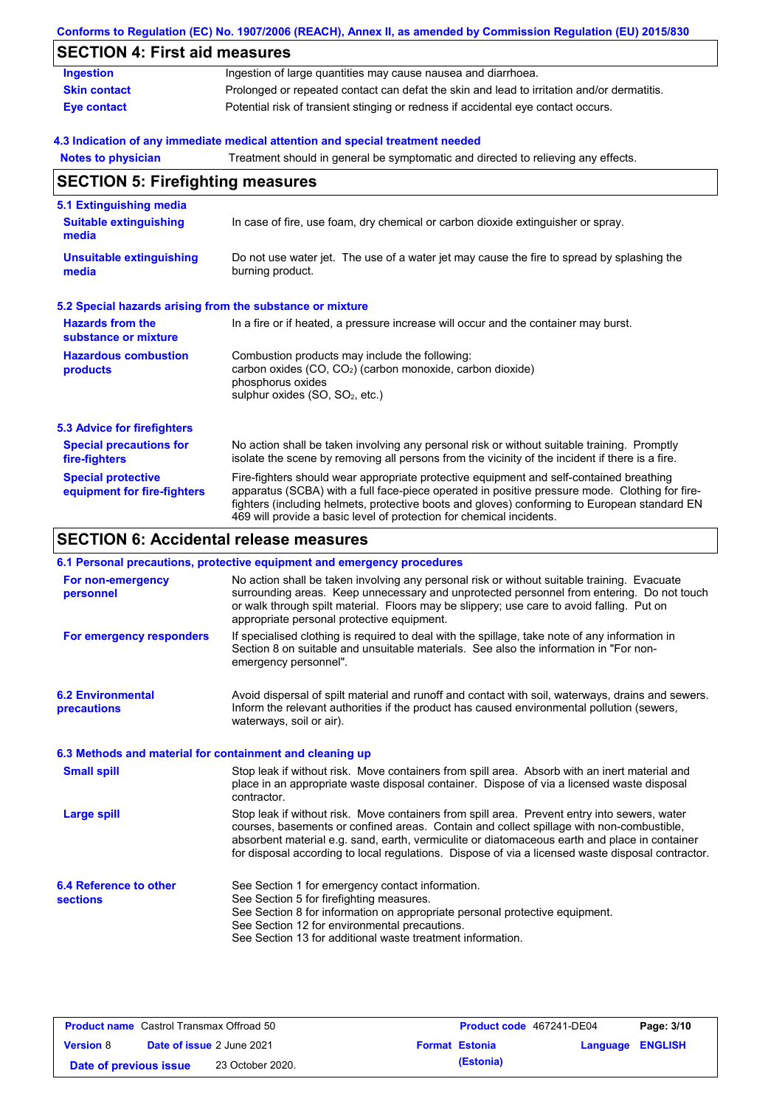|                                                           | Conforms to Regulation (EC) No. 1907/2006 (REACH), Annex II, as amended by Commission Regulation (EU) 2015/830                                                                                                                                                                                                                                                                                 |
|-----------------------------------------------------------|------------------------------------------------------------------------------------------------------------------------------------------------------------------------------------------------------------------------------------------------------------------------------------------------------------------------------------------------------------------------------------------------|
| <b>SECTION 4: First aid measures</b>                      |                                                                                                                                                                                                                                                                                                                                                                                                |
| <b>Ingestion</b>                                          | Ingestion of large quantities may cause nausea and diarrhoea.                                                                                                                                                                                                                                                                                                                                  |
| <b>Skin contact</b>                                       | Prolonged or repeated contact can defat the skin and lead to irritation and/or dermatitis.                                                                                                                                                                                                                                                                                                     |
| <b>Eye contact</b>                                        | Potential risk of transient stinging or redness if accidental eye contact occurs.                                                                                                                                                                                                                                                                                                              |
|                                                           | 4.3 Indication of any immediate medical attention and special treatment needed                                                                                                                                                                                                                                                                                                                 |
| <b>Notes to physician</b>                                 | Treatment should in general be symptomatic and directed to relieving any effects.                                                                                                                                                                                                                                                                                                              |
| <b>SECTION 5: Firefighting measures</b>                   |                                                                                                                                                                                                                                                                                                                                                                                                |
| 5.1 Extinguishing media                                   |                                                                                                                                                                                                                                                                                                                                                                                                |
| <b>Suitable extinguishing</b><br>media                    | In case of fire, use foam, dry chemical or carbon dioxide extinguisher or spray.                                                                                                                                                                                                                                                                                                               |
| <b>Unsuitable extinguishing</b><br>media                  | Do not use water jet. The use of a water jet may cause the fire to spread by splashing the<br>burning product.                                                                                                                                                                                                                                                                                 |
| 5.2 Special hazards arising from the substance or mixture |                                                                                                                                                                                                                                                                                                                                                                                                |
| <b>Hazards from the</b><br>substance or mixture           | In a fire or if heated, a pressure increase will occur and the container may burst.                                                                                                                                                                                                                                                                                                            |
| <b>Hazardous combustion</b>                               | Combustion products may include the following:                                                                                                                                                                                                                                                                                                                                                 |
| products                                                  | carbon oxides (CO, CO <sub>2</sub> ) (carbon monoxide, carbon dioxide)<br>phosphorus oxides<br>sulphur oxides (SO, SO <sub>2</sub> , etc.)                                                                                                                                                                                                                                                     |
| <b>5.3 Advice for firefighters</b>                        |                                                                                                                                                                                                                                                                                                                                                                                                |
| <b>Special precautions for</b><br>fire-fighters           | No action shall be taken involving any personal risk or without suitable training. Promptly<br>isolate the scene by removing all persons from the vicinity of the incident if there is a fire.                                                                                                                                                                                                 |
| <b>Special protective</b><br>equipment for fire-fighters  | Fire-fighters should wear appropriate protective equipment and self-contained breathing<br>apparatus (SCBA) with a full face-piece operated in positive pressure mode. Clothing for fire-<br>fighters (including helmets, protective boots and gloves) conforming to European standard EN<br>469 will provide a basic level of protection for chemical incidents.                              |
| <b>SECTION 6: Accidental release measures</b>             |                                                                                                                                                                                                                                                                                                                                                                                                |
|                                                           | 6.1 Personal precautions, protective equipment and emergency procedures                                                                                                                                                                                                                                                                                                                        |
| For non-emergency<br>personnel                            | No action shall be taken involving any personal risk or without suitable training. Evacuate<br>surrounding areas. Keep unnecessary and unprotected personnel from entering. Do not touch<br>or walk through spilt material. Floors may be slippery; use care to avoid falling. Put on<br>appropriate personal protective equipment.                                                            |
| For emergency responders                                  | If specialised clothing is required to deal with the spillage, take note of any information in<br>Section 8 on suitable and unsuitable materials. See also the information in "For non-<br>emergency personnel".                                                                                                                                                                               |
| <b>6.2 Environmental</b><br>precautions                   | Avoid dispersal of spilt material and runoff and contact with soil, waterways, drains and sewers.<br>Inform the relevant authorities if the product has caused environmental pollution (sewers,<br>waterways, soil or air).                                                                                                                                                                    |
| 6.3 Methods and material for containment and cleaning up  |                                                                                                                                                                                                                                                                                                                                                                                                |
| <b>Small spill</b>                                        | Stop leak if without risk. Move containers from spill area. Absorb with an inert material and<br>place in an appropriate waste disposal container. Dispose of via a licensed waste disposal<br>contractor.                                                                                                                                                                                     |
| <b>Large spill</b>                                        | Stop leak if without risk. Move containers from spill area. Prevent entry into sewers, water<br>courses, basements or confined areas. Contain and collect spillage with non-combustible,<br>absorbent material e.g. sand, earth, vermiculite or diatomaceous earth and place in container<br>for disposal according to local regulations. Dispose of via a licensed waste disposal contractor. |

**6.4 Reference to other sections** See Section 1 for emergency contact information. See Section 5 for firefighting measures. See Section 8 for information on appropriate personal protective equipment. See Section 12 for environmental precautions. See Section 13 for additional waste treatment information.

| <b>Product name</b> Castrol Transmax Offroad 50 |  | Product code 467241-DE04         |  | Page: 3/10            |                  |  |
|-------------------------------------------------|--|----------------------------------|--|-----------------------|------------------|--|
| <b>Version 8</b>                                |  | <b>Date of issue 2 June 2021</b> |  | <b>Format Estonia</b> | Language ENGLISH |  |
| Date of previous issue                          |  | 23 October 2020.                 |  | (Estonia)             |                  |  |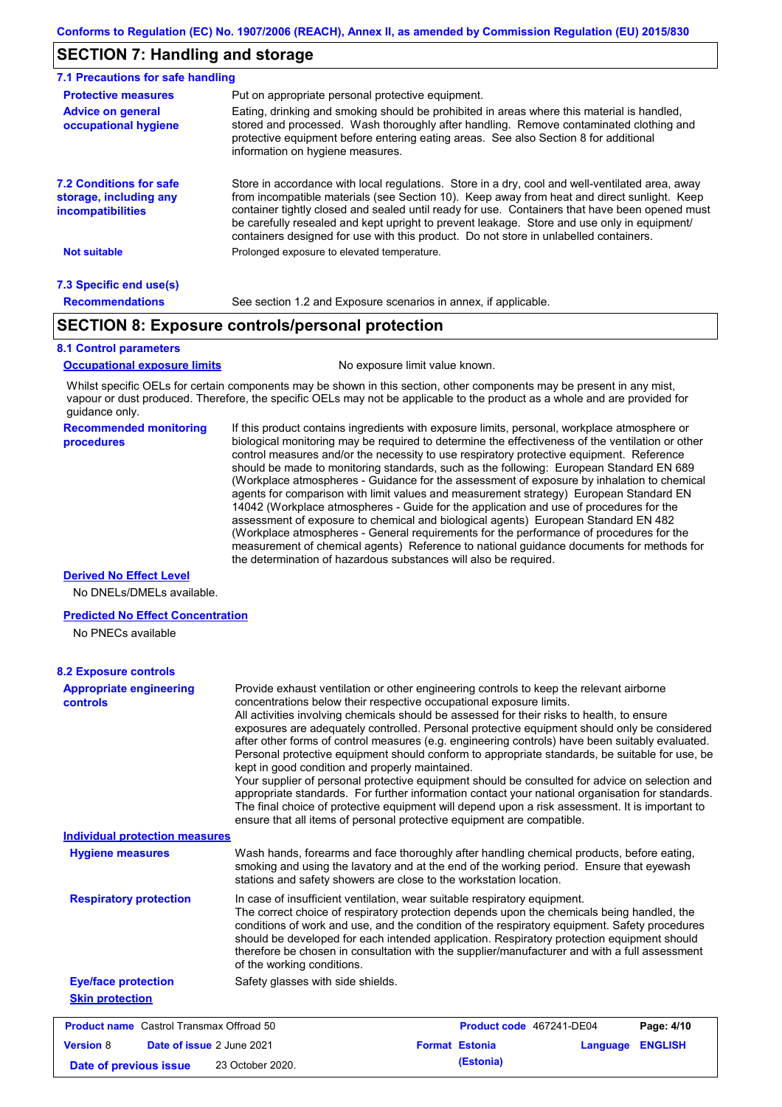# **SECTION 7: Handling and storage**

| 7.1 Precautions for safe handling                                                    |                                                                                                                                                                                                                                                                                                                                                                                                                                                                                          |
|--------------------------------------------------------------------------------------|------------------------------------------------------------------------------------------------------------------------------------------------------------------------------------------------------------------------------------------------------------------------------------------------------------------------------------------------------------------------------------------------------------------------------------------------------------------------------------------|
| <b>Protective measures</b>                                                           | Put on appropriate personal protective equipment.                                                                                                                                                                                                                                                                                                                                                                                                                                        |
| <b>Advice on general</b><br>occupational hygiene                                     | Eating, drinking and smoking should be prohibited in areas where this material is handled.<br>stored and processed. Wash thoroughly after handling. Remove contaminated clothing and<br>protective equipment before entering eating areas. See also Section 8 for additional<br>information on hygiene measures.                                                                                                                                                                         |
| <b>7.2 Conditions for safe</b><br>storage, including any<br><i>incompatibilities</i> | Store in accordance with local requlations. Store in a dry, cool and well-ventilated area, away<br>from incompatible materials (see Section 10). Keep away from heat and direct sunlight. Keep<br>container tightly closed and sealed until ready for use. Containers that have been opened must<br>be carefully resealed and kept upright to prevent leakage. Store and use only in equipment/<br>containers designed for use with this product. Do not store in unlabelled containers. |
| <b>Not suitable</b>                                                                  | Prolonged exposure to elevated temperature.                                                                                                                                                                                                                                                                                                                                                                                                                                              |
| 7.3 Specific end use(s)                                                              |                                                                                                                                                                                                                                                                                                                                                                                                                                                                                          |
| <b>Recommendations</b>                                                               | See section 1.2 and Exposure scenarios in annex, if applicable.                                                                                                                                                                                                                                                                                                                                                                                                                          |

# **SECTION 8: Exposure controls/personal protection**

### **8.1 Control parameters**

**Occupational exposure limits** No exposure limit value known.

Whilst specific OELs for certain components may be shown in this section, other components may be present in any mist, vapour or dust produced. Therefore, the specific OELs may not be applicable to the product as a whole and are provided for guidance only.

#### **Recommended monitoring procedures**

If this product contains ingredients with exposure limits, personal, workplace atmosphere or biological monitoring may be required to determine the effectiveness of the ventilation or other control measures and/or the necessity to use respiratory protective equipment. Reference should be made to monitoring standards, such as the following: European Standard EN 689 (Workplace atmospheres - Guidance for the assessment of exposure by inhalation to chemical agents for comparison with limit values and measurement strategy) European Standard EN 14042 (Workplace atmospheres - Guide for the application and use of procedures for the assessment of exposure to chemical and biological agents) European Standard EN 482 (Workplace atmospheres - General requirements for the performance of procedures for the measurement of chemical agents) Reference to national guidance documents for methods for the determination of hazardous substances will also be required.

### **Derived No Effect Level**

No DNELs/DMELs available.

### **Predicted No Effect Concentration**

No PNECs available

| <b>8.2 Exposure controls</b>                                                                                                                                                                                                                                                                                                                                                                                                                                                                                                                                                                                                                                                                                                                                                                                                                                                                                                                                                |                                                                                                                                                                                                                                                                                                                                                                                                                                                                                                       |  |  |
|-----------------------------------------------------------------------------------------------------------------------------------------------------------------------------------------------------------------------------------------------------------------------------------------------------------------------------------------------------------------------------------------------------------------------------------------------------------------------------------------------------------------------------------------------------------------------------------------------------------------------------------------------------------------------------------------------------------------------------------------------------------------------------------------------------------------------------------------------------------------------------------------------------------------------------------------------------------------------------|-------------------------------------------------------------------------------------------------------------------------------------------------------------------------------------------------------------------------------------------------------------------------------------------------------------------------------------------------------------------------------------------------------------------------------------------------------------------------------------------------------|--|--|
| Provide exhaust ventilation or other engineering controls to keep the relevant airborne<br><b>Appropriate engineering</b><br>concentrations below their respective occupational exposure limits.<br>controls<br>All activities involving chemicals should be assessed for their risks to health, to ensure<br>exposures are adequately controlled. Personal protective equipment should only be considered<br>after other forms of control measures (e.g. engineering controls) have been suitably evaluated.<br>Personal protective equipment should conform to appropriate standards, be suitable for use, be<br>kept in good condition and properly maintained.<br>Your supplier of personal protective equipment should be consulted for advice on selection and<br>appropriate standards. For further information contact your national organisation for standards.<br>The final choice of protective equipment will depend upon a risk assessment. It is important to |                                                                                                                                                                                                                                                                                                                                                                                                                                                                                                       |  |  |
| <b>Individual protection measures</b>                                                                                                                                                                                                                                                                                                                                                                                                                                                                                                                                                                                                                                                                                                                                                                                                                                                                                                                                       | ensure that all items of personal protective equipment are compatible.                                                                                                                                                                                                                                                                                                                                                                                                                                |  |  |
|                                                                                                                                                                                                                                                                                                                                                                                                                                                                                                                                                                                                                                                                                                                                                                                                                                                                                                                                                                             |                                                                                                                                                                                                                                                                                                                                                                                                                                                                                                       |  |  |
| <b>Hygiene measures</b>                                                                                                                                                                                                                                                                                                                                                                                                                                                                                                                                                                                                                                                                                                                                                                                                                                                                                                                                                     | Wash hands, forearms and face thoroughly after handling chemical products, before eating,<br>smoking and using the lavatory and at the end of the working period. Ensure that eyewash<br>stations and safety showers are close to the workstation location.                                                                                                                                                                                                                                           |  |  |
| <b>Respiratory protection</b>                                                                                                                                                                                                                                                                                                                                                                                                                                                                                                                                                                                                                                                                                                                                                                                                                                                                                                                                               | In case of insufficient ventilation, wear suitable respiratory equipment.<br>The correct choice of respiratory protection depends upon the chemicals being handled, the<br>conditions of work and use, and the condition of the respiratory equipment. Safety procedures<br>should be developed for each intended application. Respiratory protection equipment should<br>therefore be chosen in consultation with the supplier/manufacturer and with a full assessment<br>of the working conditions. |  |  |
| <b>Eye/face protection</b>                                                                                                                                                                                                                                                                                                                                                                                                                                                                                                                                                                                                                                                                                                                                                                                                                                                                                                                                                  | Safety glasses with side shields.                                                                                                                                                                                                                                                                                                                                                                                                                                                                     |  |  |
| <b>Skin protection</b>                                                                                                                                                                                                                                                                                                                                                                                                                                                                                                                                                                                                                                                                                                                                                                                                                                                                                                                                                      |                                                                                                                                                                                                                                                                                                                                                                                                                                                                                                       |  |  |
| <b>Product name</b> Castrol Transmax Offroad 50                                                                                                                                                                                                                                                                                                                                                                                                                                                                                                                                                                                                                                                                                                                                                                                                                                                                                                                             | Product code 467241-DE04<br>Page: 4/10                                                                                                                                                                                                                                                                                                                                                                                                                                                                |  |  |
| <b>Version 8</b>                                                                                                                                                                                                                                                                                                                                                                                                                                                                                                                                                                                                                                                                                                                                                                                                                                                                                                                                                            | <b>Format Estonia</b><br><b>ENGLISH</b><br>Date of issue 2 June 2021<br>Language                                                                                                                                                                                                                                                                                                                                                                                                                      |  |  |
| Date of previous issue                                                                                                                                                                                                                                                                                                                                                                                                                                                                                                                                                                                                                                                                                                                                                                                                                                                                                                                                                      | (Estonia)<br>23 October 2020.                                                                                                                                                                                                                                                                                                                                                                                                                                                                         |  |  |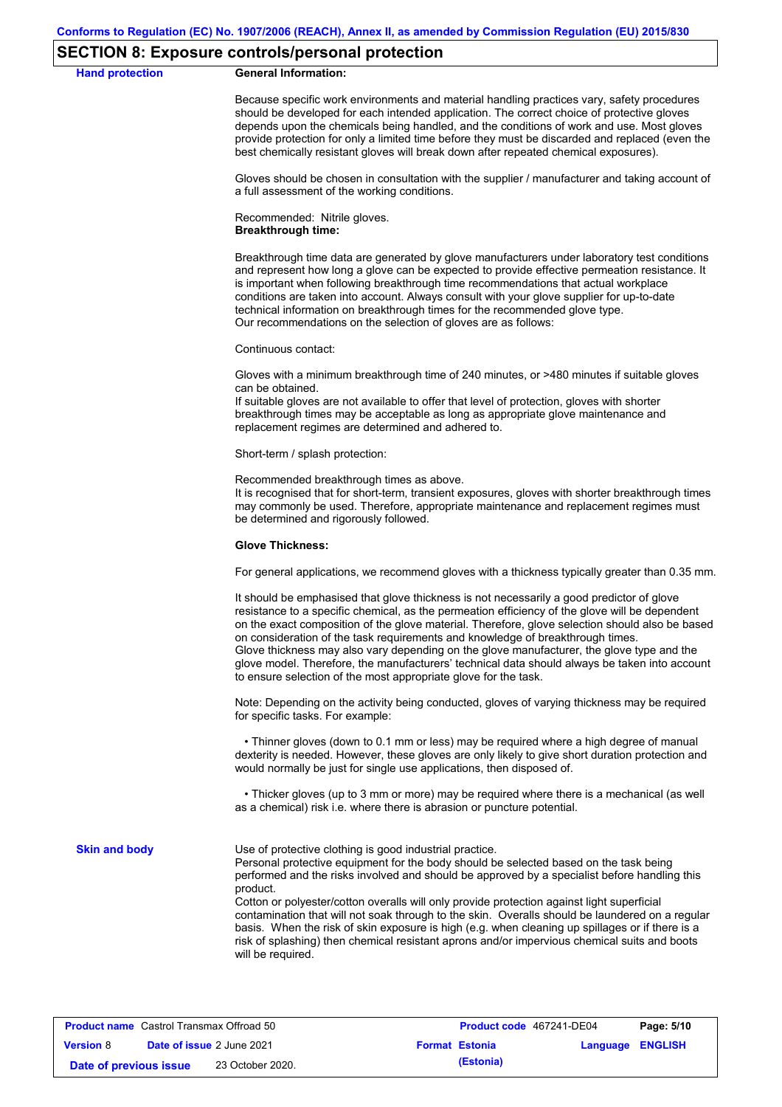# **SECTION 8: Exposure controls/personal protection**

**Hand protection** 

|  | <b>General Information:</b> |
|--|-----------------------------|
|--|-----------------------------|

Because specific work environments and material handling practices vary, safety procedures should be developed for each intended application. The correct choice of protective gloves depends upon the chemicals being handled, and the conditions of work and use. Most gloves provide protection for only a limited time before they must be discarded and replaced (even the best chemically resistant gloves will break down after repeated chemical exposures).

Gloves should be chosen in consultation with the supplier / manufacturer and taking account of a full assessment of the working conditions.

Recommended: Nitrile gloves. **Breakthrough time:**

Breakthrough time data are generated by glove manufacturers under laboratory test conditions and represent how long a glove can be expected to provide effective permeation resistance. It is important when following breakthrough time recommendations that actual workplace conditions are taken into account. Always consult with your glove supplier for up-to-date technical information on breakthrough times for the recommended glove type. Our recommendations on the selection of gloves are as follows:

Continuous contact:

Gloves with a minimum breakthrough time of 240 minutes, or >480 minutes if suitable gloves can be obtained.

If suitable gloves are not available to offer that level of protection, gloves with shorter breakthrough times may be acceptable as long as appropriate glove maintenance and replacement regimes are determined and adhered to.

Short-term / splash protection:

Recommended breakthrough times as above.

It is recognised that for short-term, transient exposures, gloves with shorter breakthrough times may commonly be used. Therefore, appropriate maintenance and replacement regimes must be determined and rigorously followed.

#### **Glove Thickness:**

For general applications, we recommend gloves with a thickness typically greater than 0.35 mm.

It should be emphasised that glove thickness is not necessarily a good predictor of glove resistance to a specific chemical, as the permeation efficiency of the glove will be dependent on the exact composition of the glove material. Therefore, glove selection should also be based on consideration of the task requirements and knowledge of breakthrough times. Glove thickness may also vary depending on the glove manufacturer, the glove type and the glove model. Therefore, the manufacturers' technical data should always be taken into account to ensure selection of the most appropriate glove for the task.

Note: Depending on the activity being conducted, gloves of varying thickness may be required for specific tasks. For example:

 • Thinner gloves (down to 0.1 mm or less) may be required where a high degree of manual dexterity is needed. However, these gloves are only likely to give short duration protection and would normally be just for single use applications, then disposed of.

 • Thicker gloves (up to 3 mm or more) may be required where there is a mechanical (as well as a chemical) risk i.e. where there is abrasion or puncture potential.

**Skin and body**

Use of protective clothing is good industrial practice.

Personal protective equipment for the body should be selected based on the task being performed and the risks involved and should be approved by a specialist before handling this product.

Cotton or polyester/cotton overalls will only provide protection against light superficial contamination that will not soak through to the skin. Overalls should be laundered on a regular basis. When the risk of skin exposure is high (e.g. when cleaning up spillages or if there is a risk of splashing) then chemical resistant aprons and/or impervious chemical suits and boots will be required.

| <b>Product name</b> Castrol Transmax Offroad 50 |  | Product code 467241-DE04         |  | Page: 5/10            |                         |  |
|-------------------------------------------------|--|----------------------------------|--|-----------------------|-------------------------|--|
| <b>Version 8</b>                                |  | <b>Date of issue 2 June 2021</b> |  | <b>Format Estonia</b> | <b>Language ENGLISH</b> |  |
| Date of previous issue                          |  | 23 October 2020.                 |  | (Estonia)             |                         |  |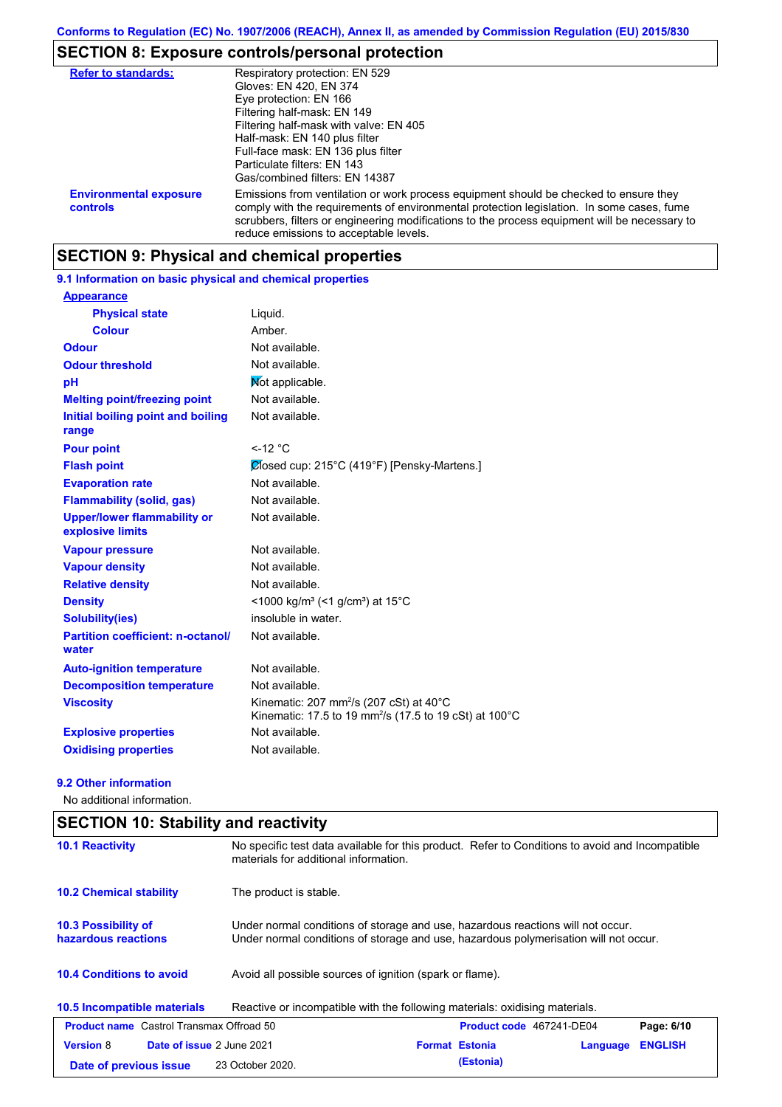# **SECTION 8: Exposure controls/personal protection**

| <b>Refer to standards:</b>                | Respiratory protection: EN 529<br>Gloves: EN 420, EN 374<br>Eye protection: EN 166<br>Filtering half-mask: EN 149<br>Filtering half-mask with valve: EN 405<br>Half-mask: EN 140 plus filter<br>Full-face mask: EN 136 plus filter<br>Particulate filters: EN 143<br>Gas/combined filters: EN 14387                           |
|-------------------------------------------|-------------------------------------------------------------------------------------------------------------------------------------------------------------------------------------------------------------------------------------------------------------------------------------------------------------------------------|
| <b>Environmental exposure</b><br>controls | Emissions from ventilation or work process equipment should be checked to ensure they<br>comply with the requirements of environmental protection legislation. In some cases, fume<br>scrubbers, filters or engineering modifications to the process equipment will be necessary to<br>reduce emissions to acceptable levels. |

# **SECTION 9: Physical and chemical properties**

# **9.1 Information on basic physical and chemical properties**

| <b>Appearance</b>                                      |                                                                                                                                                |
|--------------------------------------------------------|------------------------------------------------------------------------------------------------------------------------------------------------|
| <b>Physical state</b>                                  | Liquid.                                                                                                                                        |
| <b>Colour</b>                                          | Amber                                                                                                                                          |
| <b>Odour</b>                                           | Not available.                                                                                                                                 |
| <b>Odour threshold</b>                                 | Not available.                                                                                                                                 |
| pH                                                     | Mot applicable.                                                                                                                                |
| <b>Melting point/freezing point</b>                    | Not available.                                                                                                                                 |
| <b>Initial boiling point and boiling</b><br>range      | Not available.                                                                                                                                 |
| <b>Pour point</b>                                      | $<$ -12 °C                                                                                                                                     |
| <b>Flash point</b>                                     | Ølosed cup: 215°C (419°F) [Pensky-Martens.]                                                                                                    |
| <b>Evaporation rate</b>                                | Not available.                                                                                                                                 |
| <b>Flammability (solid, gas)</b>                       | Not available.                                                                                                                                 |
| <b>Upper/lower flammability or</b><br>explosive limits | Not available.                                                                                                                                 |
| <b>Vapour pressure</b>                                 | Not available.                                                                                                                                 |
| <b>Vapour density</b>                                  | Not available.                                                                                                                                 |
| <b>Relative density</b>                                | Not available.                                                                                                                                 |
| <b>Density</b>                                         | <1000 kg/m <sup>3</sup> (<1 g/cm <sup>3</sup> ) at 15 <sup>°</sup> C                                                                           |
| <b>Solubility(ies)</b>                                 | insoluble in water.                                                                                                                            |
| <b>Partition coefficient: n-octanol/</b><br>water      | Not available.                                                                                                                                 |
| <b>Auto-ignition temperature</b>                       | Not available.                                                                                                                                 |
| <b>Decomposition temperature</b>                       | Not available.                                                                                                                                 |
| <b>Viscosity</b>                                       | Kinematic: 207 mm <sup>2</sup> /s (207 cSt) at $40^{\circ}$ C<br>Kinematic: 17.5 to 19 mm <sup>2</sup> /s (17.5 to 19 cSt) at 100 $^{\circ}$ C |
| <b>Explosive properties</b>                            | Not available.                                                                                                                                 |
| <b>Oxidising properties</b>                            | Not available.                                                                                                                                 |

### **9.2 Other information**

No additional information.

| <b>SECTION 10: Stability and reactivity</b>     |                                                                                                                                                                         |  |  |  |  |
|-------------------------------------------------|-------------------------------------------------------------------------------------------------------------------------------------------------------------------------|--|--|--|--|
| <b>10.1 Reactivity</b>                          | No specific test data available for this product. Refer to Conditions to avoid and Incompatible<br>materials for additional information.                                |  |  |  |  |
| <b>10.2 Chemical stability</b>                  | The product is stable.                                                                                                                                                  |  |  |  |  |
| 10.3 Possibility of<br>hazardous reactions      | Under normal conditions of storage and use, hazardous reactions will not occur.<br>Under normal conditions of storage and use, hazardous polymerisation will not occur. |  |  |  |  |
| <b>10.4 Conditions to avoid</b>                 | Avoid all possible sources of ignition (spark or flame).                                                                                                                |  |  |  |  |
| 10.5 Incompatible materials                     | Reactive or incompatible with the following materials: oxidising materials.                                                                                             |  |  |  |  |
| <b>Product name</b> Castrol Transmax Offroad 50 | <b>Product code</b> 467241-DE04<br>Page: 6/10                                                                                                                           |  |  |  |  |
| <b>Version 8</b><br>Date of issue 2 June 2021   | <b>Format Estonia</b><br><b>ENGLISH</b><br>Language                                                                                                                     |  |  |  |  |
| Date of previous issue                          | (Estonia)<br>23 October 2020.                                                                                                                                           |  |  |  |  |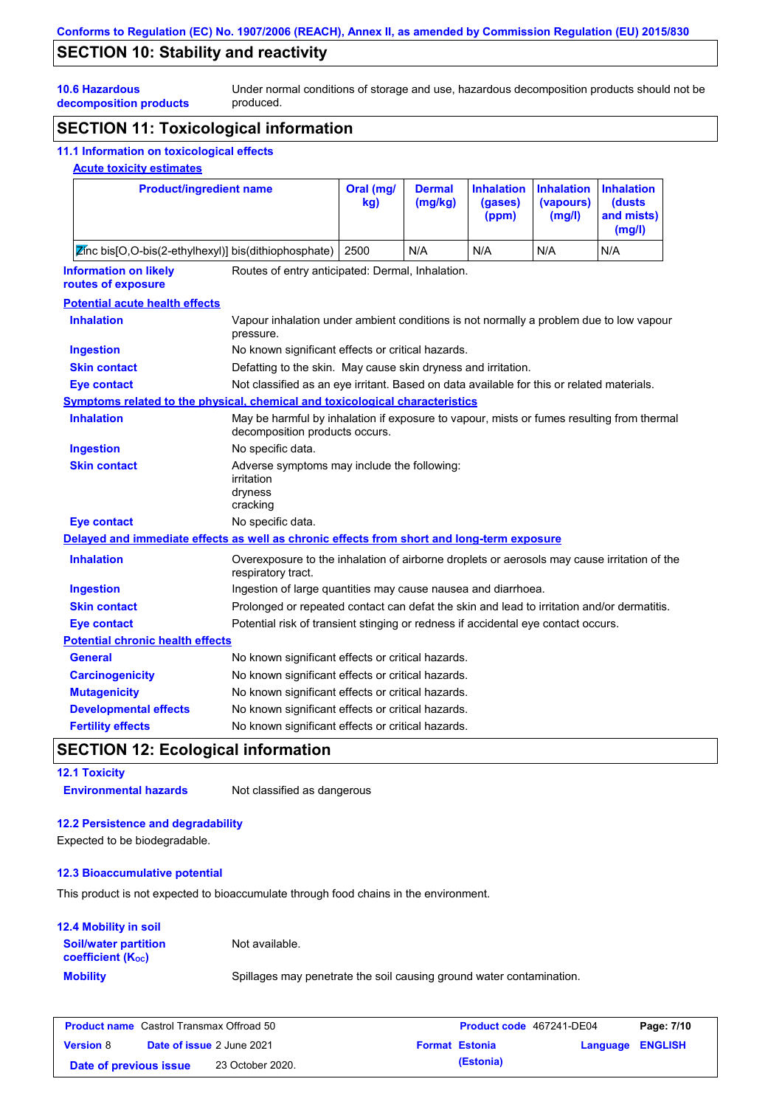# **SECTION 10: Stability and reactivity**

Under normal conditions of storage and use, hazardous decomposition products should not be produced.

**10.6 Hazardous decomposition products**

# **SECTION 11: Toxicological information**

### **11.1 Information on toxicological effects**

### **Acute toxicity estimates**

| <b>Product/ingredient name</b>                                                   |  | Oral (mg/<br>kg) | <b>Dermal</b><br>(mg/kg) | (gases)<br>(ppm) | Inhalation Inhalation Inhalation<br>(vapours)<br>(mg/l) | (dusts)<br>and mists)<br>(mg/l) |
|----------------------------------------------------------------------------------|--|------------------|--------------------------|------------------|---------------------------------------------------------|---------------------------------|
| Zinc bis[O,O-bis(2-ethylhexyl)] bis(dithiophosphate)                             |  | 2500             | N/A                      | N/A              | N/A                                                     | N/A                             |
| Routes of entry anticipated: Dermal, Inhalation.<br><b>Information on likely</b> |  |                  |                          |                  |                                                         |                                 |

### **routes of exposure**

| <b>Potential acute health effects</b> |  |  |  |
|---------------------------------------|--|--|--|
|                                       |  |  |  |

| <b>Inhalation</b>                       | Vapour inhalation under ambient conditions is not normally a problem due to low vapour<br>pressure.                         |
|-----------------------------------------|-----------------------------------------------------------------------------------------------------------------------------|
| <b>Ingestion</b>                        | No known significant effects or critical hazards.                                                                           |
| <b>Skin contact</b>                     | Defatting to the skin. May cause skin dryness and irritation.                                                               |
| <b>Eye contact</b>                      | Not classified as an eye irritant. Based on data available for this or related materials.                                   |
|                                         | Symptoms related to the physical, chemical and toxicological characteristics                                                |
| <b>Inhalation</b>                       | May be harmful by inhalation if exposure to vapour, mists or fumes resulting from thermal<br>decomposition products occurs. |
| <b>Ingestion</b>                        | No specific data.                                                                                                           |
| <b>Skin contact</b>                     | Adverse symptoms may include the following:<br>irritation<br>dryness<br>cracking                                            |
| <b>Eye contact</b>                      | No specific data.                                                                                                           |
|                                         | Delayed and immediate effects as well as chronic effects from short and long-term exposure                                  |
| <b>Inhalation</b>                       | Overexposure to the inhalation of airborne droplets or aerosols may cause irritation of the<br>respiratory tract.           |
| <b>Ingestion</b>                        | Ingestion of large quantities may cause nausea and diarrhoea.                                                               |
| <b>Skin contact</b>                     | Prolonged or repeated contact can defat the skin and lead to irritation and/or dermatitis.                                  |
| <b>Eye contact</b>                      | Potential risk of transient stinging or redness if accidental eye contact occurs.                                           |
| <b>Potential chronic health effects</b> |                                                                                                                             |
| <b>General</b>                          | No known significant effects or critical hazards.                                                                           |
| <b>Carcinogenicity</b>                  | No known significant effects or critical hazards.                                                                           |
| <b>Mutagenicity</b>                     | No known significant effects or critical hazards.                                                                           |
| <b>Developmental effects</b>            | No known significant effects or critical hazards.                                                                           |
| <b>Fertility effects</b>                | No known significant effects or critical hazards.                                                                           |

# **SECTION 12: Ecological information**

**12.1 Toxicity**

**Environmental hazards** Not classified as dangerous

# **12.2 Persistence and degradability**

Expected to be biodegradable.

### **12.3 Bioaccumulative potential**

This product is not expected to bioaccumulate through food chains in the environment.

## **12.4 Mobility in soil**

**Mobility** Spillages may penetrate the soil causing ground water contamination. **Soil/water partition coefficient (KOC)** Not available.

| <b>Product name</b> Castrol Transmax Offroad 50 |  | <b>Product code</b> 467241-DE04  |  | Page: 7/10            |                         |  |
|-------------------------------------------------|--|----------------------------------|--|-----------------------|-------------------------|--|
| <b>Version 8</b>                                |  | <b>Date of issue 2 June 2021</b> |  | <b>Format Estonia</b> | <b>Language ENGLISH</b> |  |
| Date of previous issue                          |  | 23 October 2020.                 |  | (Estonia)             |                         |  |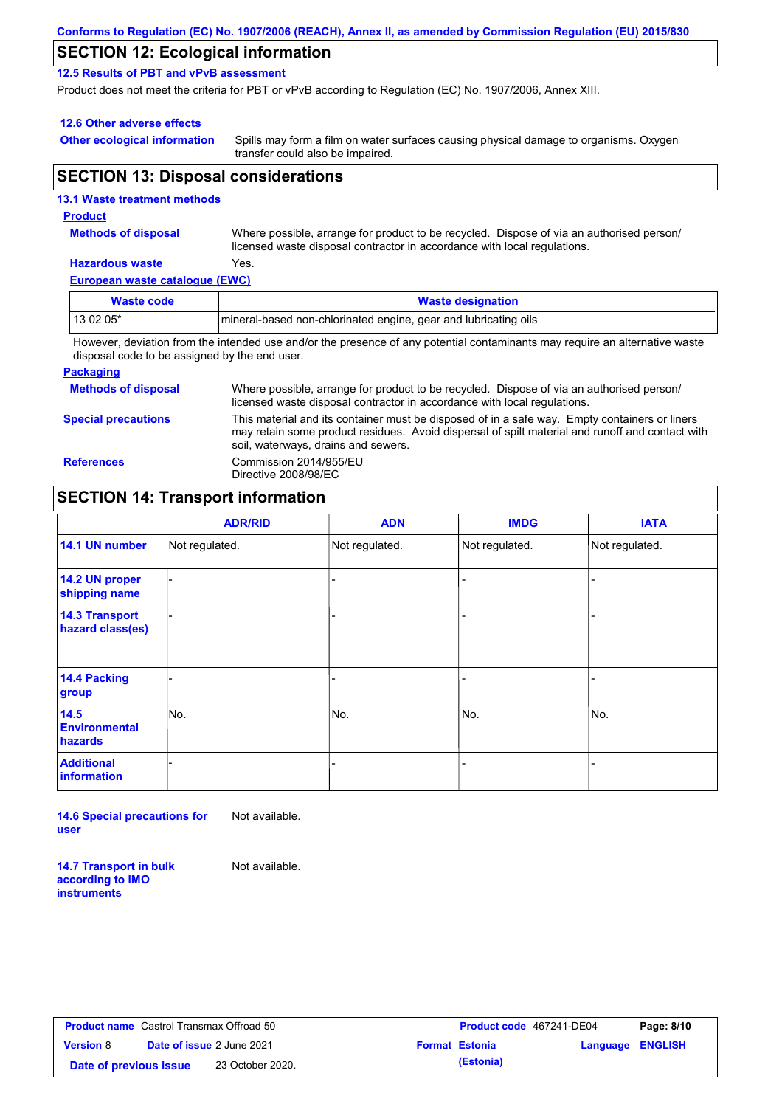| Conforms to Regulation (EC) No. 1907/2006 (REACH), Annex II, as amended by Commission Regulation (EU) 2015/830 |  |
|----------------------------------------------------------------------------------------------------------------|--|
|----------------------------------------------------------------------------------------------------------------|--|

# **SECTION 12: Ecological information**

**12.5 Results of PBT and vPvB assessment**

Product does not meet the criteria for PBT or vPvB according to Regulation (EC) No. 1907/2006, Annex XIII.

### **12.6 Other adverse effects**

**Other ecological information**

Spills may form a film on water surfaces causing physical damage to organisms. Oxygen transfer could also be impaired.

# **SECTION 13: Disposal considerations**

## **European waste catalogue (EWC) Hazardous waste** Yes. Where possible, arrange for product to be recycled. Dispose of via an authorised person/ licensed waste disposal contractor in accordance with local regulations. **Methods of disposal 13.1 Waste treatment methods Product Waste code Waste designation** 13 02 05\* mineral-based non-chlorinated engine, gear and lubricating oils

However, deviation from the intended use and/or the presence of any potential contaminants may require an alternative waste disposal code to be assigned by the end user.

### **Packaging**

| <b>Methods of disposal</b> | Where possible, arrange for product to be recycled. Dispose of via an authorised person/<br>licensed waste disposal contractor in accordance with local regulations.                                                                    |
|----------------------------|-----------------------------------------------------------------------------------------------------------------------------------------------------------------------------------------------------------------------------------------|
| <b>Special precautions</b> | This material and its container must be disposed of in a safe way. Empty containers or liners<br>may retain some product residues. Avoid dispersal of spilt material and runoff and contact with<br>soil, waterways, drains and sewers. |
| <b>References</b>          | Commission 2014/955/EU<br>Directive 2008/98/EC                                                                                                                                                                                          |

# **SECTION 14: Transport information**

|                                           | <b>ADR/RID</b> | <b>ADN</b>     | <b>IMDG</b>    | <b>IATA</b>    |
|-------------------------------------------|----------------|----------------|----------------|----------------|
| 14.1 UN number                            | Not regulated. | Not regulated. | Not regulated. | Not regulated. |
| 14.2 UN proper<br>shipping name           |                |                | -              |                |
| <b>14.3 Transport</b><br>hazard class(es) |                |                | ۰              |                |
| <b>14.4 Packing</b><br>group              |                |                | -              |                |
| 14.5<br><b>Environmental</b><br>hazards   | No.            | No.            | No.            | No.            |
| <b>Additional</b><br><b>information</b>   |                |                |                |                |

**14.6 Special precautions for user** Not available.

**14.7 Transport in bulk according to IMO instruments**

Not available.

**Product name** Castrol Transmax Offroad 50 **Version** 8 **Date of previous issue (Estonia)** 23 October 2020.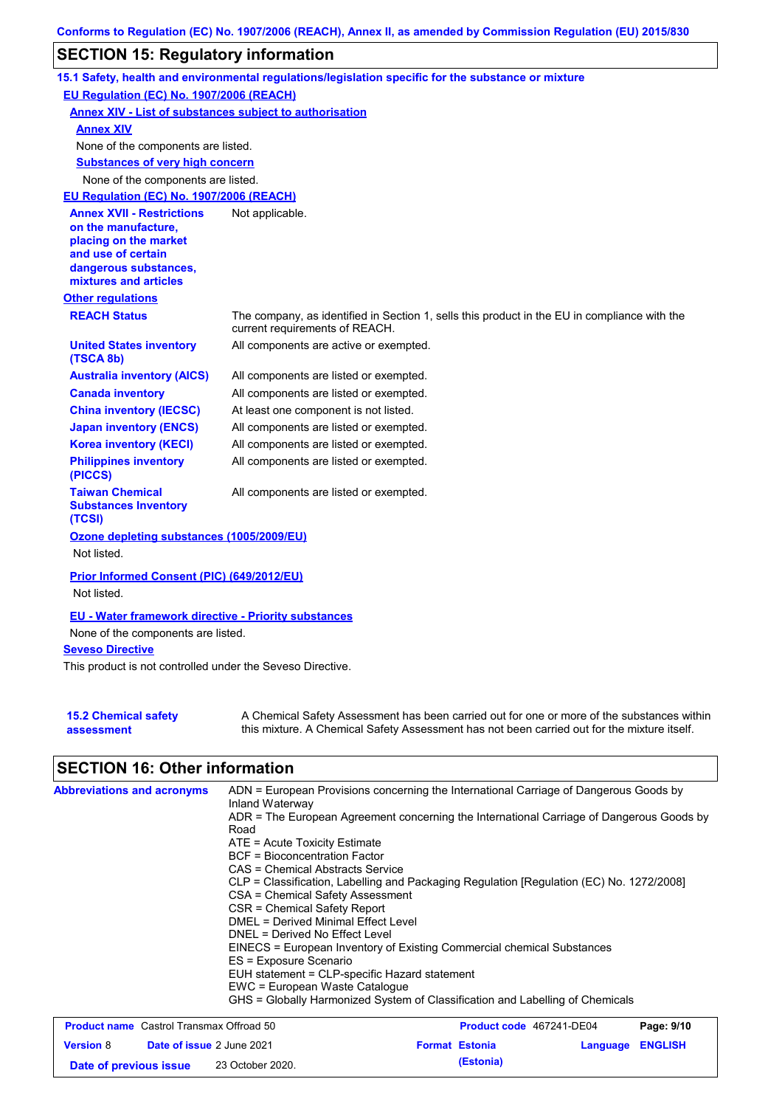# **SECTION 15: Regulatory information**

|                                                                                                                                                          | 15.1 Safety, health and environmental regulations/legislation specific for the substance or mixture                            |
|----------------------------------------------------------------------------------------------------------------------------------------------------------|--------------------------------------------------------------------------------------------------------------------------------|
| EU Regulation (EC) No. 1907/2006 (REACH)                                                                                                                 |                                                                                                                                |
| <b>Annex XIV - List of substances subject to authorisation</b>                                                                                           |                                                                                                                                |
| <b>Annex XIV</b>                                                                                                                                         |                                                                                                                                |
| None of the components are listed.                                                                                                                       |                                                                                                                                |
| <b>Substances of very high concern</b>                                                                                                                   |                                                                                                                                |
| None of the components are listed.                                                                                                                       |                                                                                                                                |
| EU Regulation (EC) No. 1907/2006 (REACH)                                                                                                                 |                                                                                                                                |
| <b>Annex XVII - Restrictions</b><br>on the manufacture,<br>placing on the market<br>and use of certain<br>dangerous substances,<br>mixtures and articles | Not applicable.                                                                                                                |
| <b>Other regulations</b>                                                                                                                                 |                                                                                                                                |
| <b>REACH Status</b>                                                                                                                                      | The company, as identified in Section 1, sells this product in the EU in compliance with the<br>current requirements of REACH. |
| <b>United States inventory</b><br>(TSCA 8b)                                                                                                              | All components are active or exempted.                                                                                         |
| <b>Australia inventory (AICS)</b>                                                                                                                        | All components are listed or exempted.                                                                                         |
| <b>Canada inventory</b>                                                                                                                                  | All components are listed or exempted.                                                                                         |
| <b>China inventory (IECSC)</b>                                                                                                                           | At least one component is not listed.                                                                                          |
| <b>Japan inventory (ENCS)</b>                                                                                                                            | All components are listed or exempted.                                                                                         |
| <b>Korea inventory (KECI)</b>                                                                                                                            | All components are listed or exempted.                                                                                         |
| <b>Philippines inventory</b><br>(PICCS)                                                                                                                  | All components are listed or exempted.                                                                                         |
| <b>Taiwan Chemical</b><br><b>Substances Inventory</b><br>(TCSI)                                                                                          | All components are listed or exempted.                                                                                         |
| Ozone depleting substances (1005/2009/EU)                                                                                                                |                                                                                                                                |
| Not listed.                                                                                                                                              |                                                                                                                                |
| Prior Informed Consent (PIC) (649/2012/EU)                                                                                                               |                                                                                                                                |
| Not listed.                                                                                                                                              |                                                                                                                                |
| <b>EU - Water framework directive - Priority substances</b>                                                                                              |                                                                                                                                |
| None of the components are listed.                                                                                                                       |                                                                                                                                |
| <b>Seveso Directive</b>                                                                                                                                  |                                                                                                                                |
| The boundary of the second constraint and second contracts $\bigcap_{i=1}^n\mathbb{R}^{n_i}$ . $\bigcap_{i=1}^n\mathbb{R}^{n_i}$                         |                                                                                                                                |

This product is not controlled under the Seveso Directive.

| <b>15.2 Chemical safety</b> | A Chemical Safety Assessment has been carried out for one or more of the substances within  |
|-----------------------------|---------------------------------------------------------------------------------------------|
| assessment                  | this mixture. A Chemical Safety Assessment has not been carried out for the mixture itself. |

# **SECTION 16: Other information**

| <b>Abbreviations and acronyms</b>               | Inland Waterway                                                       | ADN = European Provisions concerning the International Carriage of Dangerous Goods by    |            |
|-------------------------------------------------|-----------------------------------------------------------------------|------------------------------------------------------------------------------------------|------------|
|                                                 | Road                                                                  | ADR = The European Agreement concerning the International Carriage of Dangerous Goods by |            |
|                                                 | ATE = Acute Toxicity Estimate                                         |                                                                                          |            |
|                                                 | BCF = Bioconcentration Factor<br>CAS = Chemical Abstracts Service     |                                                                                          |            |
|                                                 | CSA = Chemical Safety Assessment                                      | CLP = Classification, Labelling and Packaging Regulation [Regulation (EC) No. 1272/2008] |            |
|                                                 | CSR = Chemical Safety Report                                          |                                                                                          |            |
|                                                 | DMEL = Derived Minimal Effect Level<br>DNEL = Derived No Effect Level |                                                                                          |            |
|                                                 | ES = Exposure Scenario                                                | EINECS = European Inventory of Existing Commercial chemical Substances                   |            |
|                                                 | EUH statement = CLP-specific Hazard statement                         |                                                                                          |            |
|                                                 | EWC = European Waste Catalogue                                        | GHS = Globally Harmonized System of Classification and Labelling of Chemicals            |            |
| <b>Product name</b> Castrol Transmax Offroad 50 |                                                                       | <b>Product code</b> 467241-DE04                                                          | Page: 9/10 |

| <b>Product name</b> Castrol Hansmax Officad 50 |                                  |                       | <b>Product code</b> 40/241-DE04 | Page: 9/10 |
|------------------------------------------------|----------------------------------|-----------------------|---------------------------------|------------|
| <b>Version 8</b>                               | <b>Date of issue 2 June 2021</b> | <b>Format Estonia</b> | Language ENGLISH                |            |
| Date of previous issue                         | 23 October 2020.                 | (Estonia)             |                                 |            |